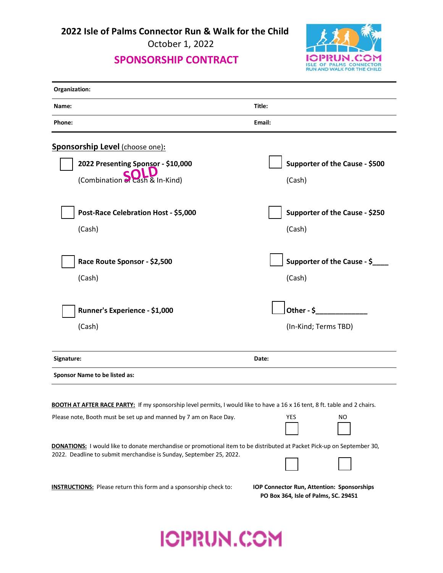**2022 Isle of Palms Connector Run & Walk for the Child**

October 1, 2022

## **SPONSORSHIP CONTRACT**



| Organization:                                                                                                                                                                                 |                                                                                           |
|-----------------------------------------------------------------------------------------------------------------------------------------------------------------------------------------------|-------------------------------------------------------------------------------------------|
| Name:                                                                                                                                                                                         | Title:                                                                                    |
| Phone:                                                                                                                                                                                        | Email:                                                                                    |
| <b>Sponsorship Level (choose one):</b>                                                                                                                                                        |                                                                                           |
| 2022 Presenting Sponsor - \$10,000                                                                                                                                                            | Supporter of the Cause - \$500                                                            |
| (Combination of cash & In-Kind)                                                                                                                                                               | (Cash)                                                                                    |
| Post-Race Celebration Host - \$5,000                                                                                                                                                          | Supporter of the Cause - \$250                                                            |
| (Cash)                                                                                                                                                                                        | (Cash)                                                                                    |
| Race Route Sponsor - \$2,500                                                                                                                                                                  | Supporter of the Cause - \$                                                               |
|                                                                                                                                                                                               |                                                                                           |
| (Cash)                                                                                                                                                                                        | (Cash)                                                                                    |
| Runner's Experience - \$1,000                                                                                                                                                                 | Other - $\zeta$                                                                           |
| (Cash)                                                                                                                                                                                        | (In-Kind; Terms TBD)                                                                      |
| Signature:                                                                                                                                                                                    | Date:                                                                                     |
| Sponsor Name to be listed as:                                                                                                                                                                 |                                                                                           |
| <b>BOOTH AT AFTER RACE PARTY:</b> If my sponsorship level permits, I would like to have a 16 x 16 tent, 8 ft. table and 2 chairs.                                                             |                                                                                           |
| Please note, Booth must be set up and manned by 7 am on Race Day.                                                                                                                             | YES<br>NO                                                                                 |
| DONATIONS: I would like to donate merchandise or promotional item to be distributed at Packet Pick-up on September 30,<br>2022. Deadline to submit merchandise is Sunday, September 25, 2022. |                                                                                           |
| <b>INSTRUCTIONS:</b> Please return this form and a sponsorship check to:                                                                                                                      | <b>IOP Connector Run, Attention: Sponsorships</b><br>PO Box 364, Isle of Palms, SC. 29451 |

## **ICPRUN.COM**